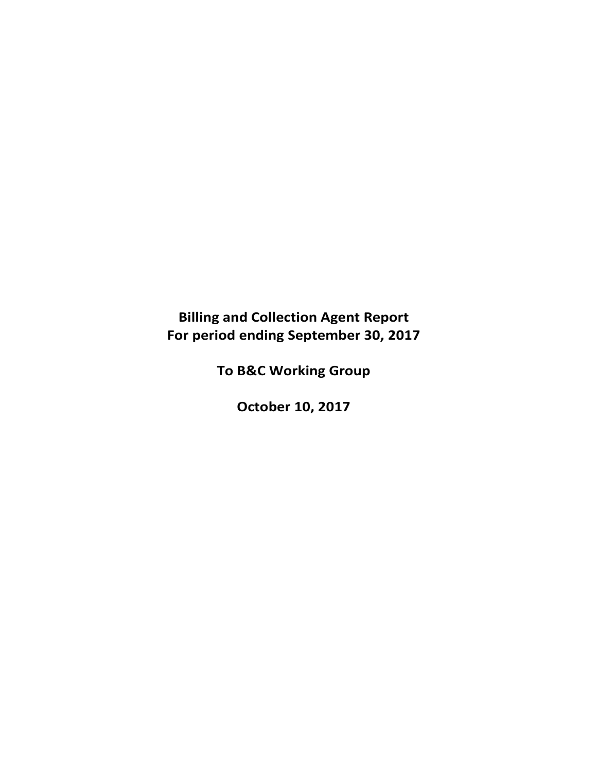# **Billing and Collection Agent Report For period ending September 30, 2017**

**To B&C Working Group**

**October 10, 2017**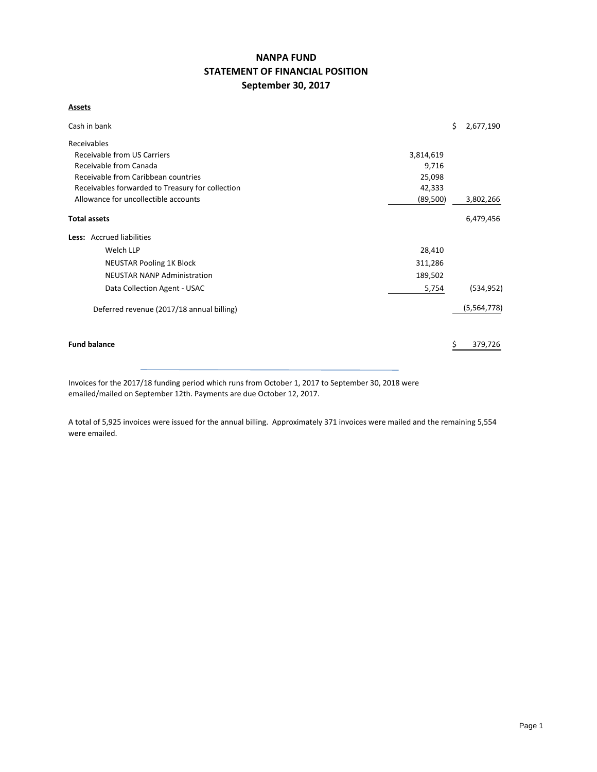# **NANPA FUND STATEMENT OF FINANCIAL POSITION September 30, 2017**

#### **Assets**

| Cash in bank                                     |           | \$<br>2,677,190 |
|--------------------------------------------------|-----------|-----------------|
| Receivables                                      |           |                 |
| Receivable from US Carriers                      | 3,814,619 |                 |
| Receivable from Canada                           | 9,716     |                 |
| Receivable from Caribbean countries              | 25,098    |                 |
| Receivables forwarded to Treasury for collection | 42,333    |                 |
| Allowance for uncollectible accounts             | (89, 500) | 3,802,266       |
| <b>Total assets</b>                              |           | 6,479,456       |
| <b>Less:</b> Accrued liabilities                 |           |                 |
| Welch LLP                                        | 28,410    |                 |
| <b>NEUSTAR Pooling 1K Block</b>                  | 311,286   |                 |
| <b>NEUSTAR NANP Administration</b>               | 189,502   |                 |
| Data Collection Agent - USAC                     | 5,754     | (534, 952)      |
| Deferred revenue (2017/18 annual billing)        |           | (5,564,778)     |
| <b>Fund balance</b>                              |           | 379,726         |

Invoices for the 2017/18 funding period which runs from October 1, 2017 to September 30, 2018 were emailed/mailed on September 12th. Payments are due October 12, 2017.

A total of 5,925 invoices were issued for the annual billing. Approximately 371 invoices were mailed and the remaining 5,554 were emailed.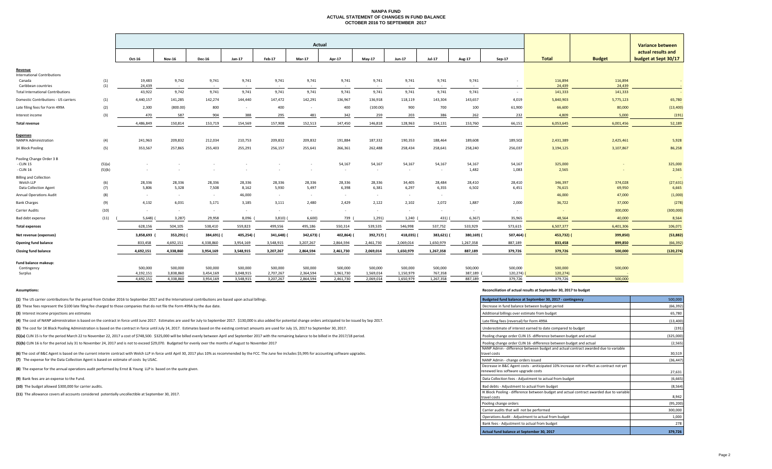#### **NANPA FUND ACTUAL STATEMENT OF CHANGES IN FUND BALANCE OCTOBER 2016 TO SEPTEMBER 2017**

|                                              |            |                 | Actual          |                 |                 |                 |                 |                 |                 |                 |                 |                 |                 | <b>Variance between</b> |                   |                                            |
|----------------------------------------------|------------|-----------------|-----------------|-----------------|-----------------|-----------------|-----------------|-----------------|-----------------|-----------------|-----------------|-----------------|-----------------|-------------------------|-------------------|--------------------------------------------|
|                                              |            | Oct-16          | <b>Nov-16</b>   | <b>Dec-16</b>   | Jan-17          | Feb-17          | Mar-17          | Apr-17          | May-17          | Jun-17          | Jul-17          | Aug-17          | $Sep-17$        | <b>Total</b>            | <b>Budget</b>     | actual results and<br>budget at Sept 30/17 |
|                                              |            |                 |                 |                 |                 |                 |                 |                 |                 |                 |                 |                 |                 |                         |                   |                                            |
| Revenue                                      |            |                 |                 |                 |                 |                 |                 |                 |                 |                 |                 |                 |                 |                         |                   |                                            |
| <b>International Contributions</b><br>Canada | (1)        | 19,483          | 9,742           | 9,741           | 9,741           | 9,741           | 9,741           | 9,741           | 9,741           | 9,741           | 9,741           | 9,741           |                 | 116,894                 | 116,894           |                                            |
| Caribbean countries                          | (1)        | 24,439          | $\sim 10^{-1}$  | $\sim$ $-$      | $\sim$ $\sim$   | $\sim$          | $\sim 100$      | $\sim 10^{-11}$ | $\sim 100$      | $\sim 100$      | $\sim$ $\sim$   | $\sim 10$       | $\sim$          | 24,439                  | 24,439            |                                            |
| <b>Total International Contributions</b>     |            | 43,922          | 9,742           | 9,741           | 9,741           | 9,741           | 9,741           | 9,741           | 9,741           | 9,741           | 9,741           | 9,741           | $\sim$          | 141,333                 | 141,333           | $\sim 100$                                 |
| Domestic Contributions - US carriers         | (1)        | 4,440,157       | 141,285         | 142,274         | 144,440         | 147,472         | 142,291         | 136,967         | 136,918         | 118,119         | 143,304         | 143,657         | 4,019           | 5,840,903               | 5,775,123         | 65,780                                     |
| Late filing fees for Form 499A               | (2)        | 2,300           | (800.00)        | 800             | $\sim$          | 400             | $\sim$          | 400             | (100.00)        | 900             | 700             | 100             | 61,900          | 66,600                  | 80,000            | (13, 400)                                  |
| Interest income                              | (3)        | 470             | 587             | 904             | 388             | 295             | 481             | 342             | 259             | 203             | 386             | 262             | 232             | 4,809                   | 5,000             | (191)                                      |
| <b>Total revenue</b>                         |            | 4,486,849       | 150,814         | 153,719         | 154,569         | 157,908         | 152,513         | 147,450         | 146,818         | 128,963         | 154,131         | 153,760         | 66,151          | 6,053,645               | 6,001,456         | 52,189                                     |
| <b>Expenses</b>                              |            |                 |                 |                 |                 |                 |                 |                 |                 |                 |                 |                 |                 |                         |                   |                                            |
| NANPA Administration                         | (4)        | 241,963         | 209,832         | 212,034         | 210,753         | 209,832         | 209,832         | 191,884         | 187,332         | 190,353         | 188,464         | 189,608         | 189,502         | 2,431,389               | 2,425,461         | 5,928                                      |
| 1K Block Pooling                             | (5)        | 353,567         | 257,865         | 255,403         | 255,291         | 256,157         | 255,641         | 266,361         | 262,488         | 258,434         | 258,641         | 258,240         | 256,037         | 3,194,125               | 3,107,867         | 86,258                                     |
| Pooling Change Order 3 B                     |            |                 |                 |                 |                 |                 |                 |                 |                 |                 |                 |                 |                 |                         |                   |                                            |
| - CLIN 15                                    | (5)(a)     |                 |                 |                 |                 |                 |                 | 54,167          | 54,167          | 54,167          | 54,167          | 54,167          | 54,167          | 325,000                 |                   | 325,000                                    |
| CLIN 16                                      | (5)(b)     |                 |                 |                 |                 |                 |                 | $\sim$          | $\sim$          | $\sim$          | $\sim$          | 1,482           | 1,083           | 2,565                   |                   | 2,565                                      |
| <b>Billing and Collection</b>                |            |                 |                 |                 |                 |                 |                 |                 |                 |                 |                 |                 |                 |                         |                   |                                            |
| Welch LLP<br><b>Data Collection Agent</b>    | (6)<br>(7) | 28,336<br>5,806 | 28,336<br>5,328 | 28,336<br>7,508 | 28,336<br>8,162 | 28,336<br>5,930 | 28,336<br>5,497 | 28,336<br>6,398 | 28,336<br>6,381 | 34,405<br>6,297 | 28,484<br>6,355 | 28,410<br>6,502 | 28,410<br>6,451 | 346,397<br>76,615       | 374,028<br>69,950 | (27, 631)<br>6,665                         |
| <b>Annual Operations Audit</b>               | (8)        | $\sim$ $-$      | $\sim$ $-$      | $\sim$          | 46,000          | $\sim$          | $\sim$          | $\sim$          | $\sim$          | $\sim$          | $\sim$          |                 |                 | 46,000                  | 47,000            | (1,000)                                    |
| <b>Bank Charges</b>                          | (9)        | 4,132           | 6,031           | 5,171           | 3,185           | 3,111           | 2,480           | 2,429           | 2,122           | 2,102           | 2,072           | 1,887           | 2,000           | 36,722                  | 37,000            | (278)                                      |
| Carrier Audits                               | (10)       | $\sim$          | $\sim 10^{-1}$  | $\sim$          | $\sim$          | $\sim$          | $\sim$          | $\sim$          | $\sim$          | $\sim$          | $\sim$          | $\sim$          | $\sim$          | $\sim$                  | 300,000           | (300,000)                                  |
| Bad debt expense                             | (11)       | 5,648)          | 3,287           | 29,958          | 8,096           | 3,810           | 6,600)          | 739             | 1,291           | 1,240           | 431) (          | 6,367)          | 35,965          | 48,564                  | 40,000            | 8,564                                      |
| <b>Total expenses</b>                        |            | 628,156         | 504,105         | 538,410         | 559,823         | 499,556         | 495,186         | 550,314         | 539,535         | 546,998         | 537,752         | 533,929         | 573,615         | 6,507,377               | 6,401,306         | 106,071                                    |
| Net revenue (expenses)                       |            | 3,858,693       | 353,291)        | 384,691)        | 405,254) (      | 341,648)        | 342,673) (      | 402,864) (      | 392,717) (      | 418,035)        | 383,621) (      | 380,169) (      | 507,464)        | 453,732)                | 399,850)          | (53, 882)                                  |
| <b>Opening fund balance</b>                  |            | 833,458         | 4,692,151       | 4,338,860       | 3,954,169       | 3,548,915       | 3,207,267       | 2,864,594       | 2,461,730       | 2,069,014       | 1,650,979       | 1,267,358       | 887,189         | 833,458                 | 899,850           | (66, 392)                                  |
| <b>Closing fund balance</b>                  |            | 4,692,151       | 4,338,860       | 3,954,169       | 3,548,915       | 3,207,267       | 2,864,594       | 2,461,730       | 2,069,014       | 1,650,979       | 1,267,358       | 887,189         | 379,726         | 379,726                 | 500,000           | (120, 274)                                 |
| Fund balance makeup:                         |            |                 |                 |                 |                 |                 |                 |                 |                 |                 |                 |                 |                 |                         |                   |                                            |
| Contingency                                  |            | 500,000         | 500,000         | 500,000         | 500,000         | 500,000         | 500,000         | 500,000         | 500,000         | 500,000         | 500,000         | 500,000         | 500,000         | 500,000                 | 500,000           |                                            |
| Surplus                                      |            | 4,192,151       | 3,838,860       | 3,454,169       | 3,048,915       | 2,707,267       | 2,364,594       | 1,961,730       | 1,569,014       | 1,150,979       | 767,358         | 387,189         | $120,274$ )     | 120,274)                |                   |                                            |

4,692,151 4,338,860 3,954,169 3,548,915 3,207,267 2,864,594 2,461,730 2,069,014 1,650,979 1,267,358 887,189 379,726 379,726 500,000

**(1)** The US carrier contributions for the period from October 2016 to September 2017 and the International contributions are based upon actual billings.

(2) These fees represent the \$100 late filing fee charged to those companies that do not file the Form 499A by the due date.

**(3)** Interest income projections are estimates

(4) The cost of NANP administration is based on the contract in force until June 2017. Estimates are used for July to September 2017. \$130,000 is also added for potential change orders anticipated to be issued by Sep 2017.

(5) The cost for 1K Block Pooling Administration is based on the contract in force until July 14, 2017. Estimates based on the existing contract amounts are used for July 15, 2017 to September 30, 2017.

(5)(a) CLIN 15 is for the period March 22 to November 22, 2017 a cost of \$748,500. \$325,000 will be billed evenly between April and September 2017 with the remaining balance to be billed in the 2017/18 period.

(5)(b) CLIN 16 is for the period July 31 to November 24, 2017 and is not to exceed \$29,070. Budgeted for evenly over the months of August to November 2017

**(7)** The expense for the Data Collection Agent is based on estimate of costs by USAC. (6) The cost of B&C Agent is based on the current interim contract with Welch LLP in force until April 30, 2017 plus 10% as recommended by the FCC. The June fee includes \$5,995 for accounting software upgrades.

**(8)** The expense for the annual operations audit performed by Ernst & Young LLP is based on the quote given.

**(9)** Bank fees are an expense to the Fund.

**(10)** The budget allowed \$300,000 for carrier audits.

**(11)** The allowance covers all accounts considered potentially uncollectible at September 30, 2017.

#### **Assumptions: Reconciliation of actual results at September 30, 2017 to budget**

| Budgeted fund balance at September 30, 2017 - contingency                                                | 500,000   |
|----------------------------------------------------------------------------------------------------------|-----------|
| Decrease in fund balance between budget period                                                           | (66, 392) |
| Additional billings over estimate from budget                                                            | 65.780    |
| Late filing fees (reversal) for Form 499A                                                                | (13, 400) |
| Underestimate of interest earned to date compared to budget                                              | (191)     |
| Pooling change order CLIN 15 -difference between budget and actual                                       | (325,000) |
| Pooling change order CLIN 16 -difference between budget and actual                                       | (2, 565)  |
| NANP Admin - difference between budget and actual contract awarded due to variable<br>travel costs       | 30,519    |
| NANP Admin - change orders issued                                                                        | (36, 447) |
| Decrease in B&C Agent costs - aniticipated 10% increase not in effect as contract not yet                |           |
| renewed less software upgrade costs                                                                      | 27.631    |
| Data Collection fees - Adjustment to actual from budget                                                  | (6,665)   |
| Bad debts - Adjustment to actual from budget                                                             | (8, 564)  |
| IK Block Pooling - difference between budget and actual contract awarded due to variable<br>travel costs | 8,942     |
| Pooling change orders                                                                                    | (95, 200) |
| Carrier audits that will not be performed                                                                | 300,000   |
| Operations Audit - Adjustment to actual from budget                                                      | 1.000     |
| Bank fees - Adjustment to actual from budget                                                             | 278       |
| Actual fund balance at September 30, 2017                                                                | 379,726   |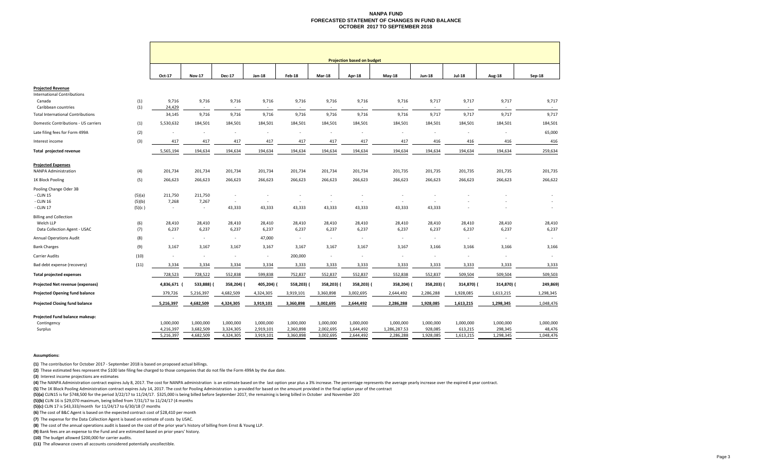#### **NANPA FUNDFORECASTED STATEMENT OF CHANGES IN FUND BALANCE OCTOBER 2017 TO SEPTEMBER 2018**

|                                                                            |                            | <b>Projection based on budget</b>   |                                     |                                                      |                                     |                                     |                                     |                                     |                                        |                                   |                                   |                                   |                                    |
|----------------------------------------------------------------------------|----------------------------|-------------------------------------|-------------------------------------|------------------------------------------------------|-------------------------------------|-------------------------------------|-------------------------------------|-------------------------------------|----------------------------------------|-----------------------------------|-----------------------------------|-----------------------------------|------------------------------------|
|                                                                            |                            | Oct-17                              | <b>Nov-17</b>                       | <b>Dec-17</b>                                        | $Jan-18$                            | <b>Feb-18</b>                       | Mar-18                              | Apr-18                              | <b>May-18</b>                          | <b>Jun-18</b>                     | <b>Jul-18</b>                     | <b>Aug-18</b>                     | Sep-18                             |
| <b>Projected Revenue</b><br><b>International Contributions</b><br>Canada   | (1)                        | 9,716                               | 9,716                               | 9,716                                                | 9,716                               | 9,716                               | 9,716                               | 9,716                               | 9,716                                  | 9,717                             | 9,717                             | 9,717                             | 9,717                              |
| Caribbean countries                                                        | (1)                        | 24,429                              | $\sim$                              | $\sim$                                               | $\sim$                              | $\sim$                              | $\sim$                              | $\sim$                              | $\sim$                                 | $\sim$                            | $\sim$                            | $\sim$                            | $\sim$                             |
| <b>Total International Contributions</b>                                   |                            | 34,145                              | 9,716                               | 9,716                                                | 9,716                               | 9,716                               | 9,716                               | 9,716                               | 9,716                                  | 9,717                             | 9,717                             | 9,717                             | 9,717                              |
| Domestic Contributions - US carriers                                       | (1)                        | 5,530,632                           | 184,501                             | 184,501                                              | 184,501                             | 184,501                             | 184,501                             | 184,501                             | 184,501                                | 184,501                           | 184,501                           | 184,501                           | 184,501                            |
| Late filing fees for Form 499A                                             | (2)                        | $\sim$                              | $\sim$                              | $\sim$                                               | $\sim$                              | $\sim$                              | $\overline{\phantom{a}}$            | $\sim$                              | $\sim$                                 | $\sim$                            | $\sim$                            | $\sim$                            | 65,000                             |
| Interest income                                                            | (3)                        | 417                                 | 417                                 | 417                                                  | 417                                 | 417                                 | 417                                 | 417                                 | 417                                    | 416                               | 416                               | 416                               | 416                                |
| Total projected revenue                                                    |                            | 5,565,194                           | 194,634                             | 194,634                                              | 194,634                             | 194,634                             | 194,634                             | 194,634                             | 194,634                                | 194,634                           | 194,634                           | 194,634                           | 259,634                            |
| <b>Projected Expenses</b><br><b>NANPA Administration</b>                   | (4)                        | 201,734                             | 201,734                             | 201,734                                              | 201,734                             | 201,734                             | 201,734                             | 201,734                             | 201,735                                | 201,735                           | 201,735                           | 201,735                           | 201,735                            |
| 1K Block Pooling                                                           | (5)                        | 266,623                             | 266,623                             | 266,623                                              | 266,623                             | 266,623                             | 266,623                             | 266,623                             | 266,623                                | 266,623                           | 266,623                           | 266,623                           | 266,622                            |
| Pooling Change Oder 3B<br>- CLIN 15<br>- CLIN 16<br>- CLIN 17              | (5)(a)<br>(5)(b)<br>(5)(c) | 211,750<br>7,268<br>$\sim$          | 211,750<br>7,267<br>$\sim$          | $\overline{a}$<br>$\overline{\phantom{a}}$<br>43,333 | $\sim$<br>43,333                    | $\sim$<br>43,333                    | $\overline{\phantom{a}}$<br>43,333  | $\sim$<br>43,333                    | 43,333                                 | $\sim$<br>43,333                  |                                   |                                   | $\sim$<br>$\overline{\phantom{a}}$ |
| <b>Billing and Collection</b><br>Welch LLP<br>Data Collection Agent - USAC | (6)<br>(7)                 | 28,410<br>6,237                     | 28,410<br>6,237                     | 28,410<br>6,237                                      | 28,410<br>6,237                     | 28,410<br>6,237                     | 28,410<br>6,237                     | 28,410<br>6,237                     | 28,410<br>6,237                        | 28,410<br>6,237                   | 28,410<br>6,237                   | 28,410<br>6,237                   | 28,410<br>6,237                    |
| <b>Annual Operations Audit</b>                                             | (8)                        | $\sim$                              | $\sim$                              | $\sim$                                               | 47,000                              | $\sim$                              | $\sim$                              | $\sim$                              | $\sim$                                 | $\sim$                            | $\sim$                            | $\sim$                            | $\sim$                             |
| <b>Bank Charges</b>                                                        | (9)                        | 3,167                               | 3,167                               | 3,167                                                | 3,167                               | 3,167                               | 3,167                               | 3,167                               | 3,167                                  | 3,166                             | 3,166                             | 3,166                             | 3,166                              |
| <b>Carrier Audits</b>                                                      | (10)                       | ٠                                   | $\sim$                              | $\sim$                                               | $\sim$                              | 200,000                             | $\sim$                              |                                     | $\sim$                                 | $\sim$                            | $\overline{\phantom{a}}$          | $\sim$                            |                                    |
| Bad debt expense (recovery)                                                | (11)                       | 3,334                               | 3,334                               | 3,334                                                | 3,334                               | 3,333                               | 3,333                               | 3,333                               | 3,333                                  | 3,333                             | 3,333                             | 3,333                             | 3,333                              |
| <b>Total projected expenses</b>                                            |                            | 728,523                             | 728,522                             | 552,838                                              | 599,838                             | 752,837                             | 552,837                             | 552,837                             | 552,838                                | 552,837                           | 509,504                           | 509,504                           | 509,503                            |
| Projected Net revenue (expenses)                                           |                            | 4,836,671                           | 533,888)                            | 358,204)                                             | 405,204) (                          | 558,203)                            | 358,203) (                          | 358,203) (                          | 358,204)                               | 358,203) (                        | 314,870) (                        | 314,870) (                        | 249,869)                           |
| Projected Opening fund balance                                             |                            | 379,726                             | 5,216,397                           | 4,682,509                                            | 4,324,305                           | 3,919,101                           | 3,360,898                           | 3,002,695                           | 2,644,492                              | 2,286,288                         | 1,928,085                         | 1,613,215                         | 1,298,345                          |
| <b>Projected Closing fund balance</b>                                      |                            | 5,216,397                           | 4,682,509                           | 4,324,305                                            | 3,919,101                           | 3,360,898                           | 3,002,695                           | 2,644,492                           | 2,286,288                              | 1,928,085                         | 1,613,215                         | 1,298,345                         | 1,048,476                          |
| Projected Fund balance makeup:<br>Contingency<br>Surplus                   |                            | 1,000,000<br>4,216,397<br>5,216,397 | 1,000,000<br>3,682,509<br>4,682,509 | 1,000,000<br>3,324,305<br>4,324,305                  | 1,000,000<br>2,919,101<br>3,919,101 | 1,000,000<br>2,360,898<br>3,360,898 | 1,000,000<br>2,002,695<br>3,002,695 | 1,000,000<br>1,644,492<br>2,644,492 | 1,000,000<br>1,286,287.53<br>2,286,288 | 1,000,000<br>928,085<br>1,928,085 | 1,000,000<br>613,215<br>1,613,215 | 1,000,000<br>298,345<br>1,298,345 | 1,000,000<br>48,476<br>1,048,476   |

#### **Assumptions:**

**(1)** The contribution for October 2017 ‐ September 2018 is based on proposed actual billings.

**(2)** These estimated fees represent the \$100 late filing fee charged to those companies that do not file the Form 499A by the due date.

**(3)** Interest income projections are estimates

(4) The NANPA Administration contract expires July 8, 2017. The cost for NANPA administration is an estimate based on the last option year plus a 3% increase. The percentage represents the average yearly increase over the

**(5)** The 1K Block Pooling Administration contract expires July 14, 2017. The cost for Pooling Administration is provided for based on the amount provided in the final option year of the contract

**(5)(a)** CLIN15 is for \$748,500 for the period 3/22/17 to 11/24/17. \$325,000 is being billed before September 2017, the remaining is being billed in October and November 201

**(5)(b)** CLIN 16 is \$29,070 maximum, being billed from 7/31/17 to 11/24/17 (4 months

**(5)(c)** CLIN <sup>17</sup> is \$43,333/month for 11/24/17 to 6/30/18 (7 months

**(6)** The cost of B&C Agent is based on the expected contract cost of \$28,410 per month

**(7)** The expense for the Data Collection Agent is based on estimate of costs by USAC.

**(8)** The cost of the annual operations audit is based on the cost of the prior year's history of billing from Ernst & Young LLP.

**(9)** Bank fees are an expense to the Fund and are estimated based on prior years' history.

**(10)** The budget allowed \$200,000 for carrier audits.

**(11)** The allowance covers all accounts considered potentially uncollectible.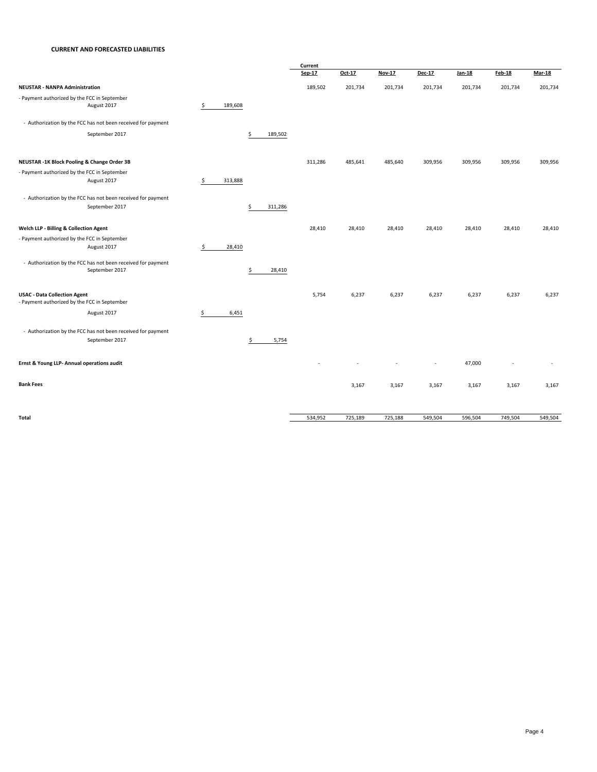#### **CURRENT AND FORECASTED LIABILITIES**

|                                                                                     |               |    |         | Current |         |         |                          |               |               |               |
|-------------------------------------------------------------------------------------|---------------|----|---------|---------|---------|---------|--------------------------|---------------|---------------|---------------|
|                                                                                     |               |    |         | Sep-17  | Oct-17  | Nov-17  | Dec-17                   | <b>Jan-18</b> | <b>Feb-18</b> | <b>Mar-18</b> |
| <b>NEUSTAR - NANPA Administration</b>                                               |               |    |         | 189,502 | 201,734 | 201,734 | 201,734                  | 201,734       | 201,734       | 201,734       |
| - Payment authorized by the FCC in September                                        |               |    |         |         |         |         |                          |               |               |               |
| August 2017                                                                         | \$<br>189,608 |    |         |         |         |         |                          |               |               |               |
| - Authorization by the FCC has not been received for payment                        |               |    |         |         |         |         |                          |               |               |               |
| September 2017                                                                      |               | \$ | 189,502 |         |         |         |                          |               |               |               |
| NEUSTAR -1K Block Pooling & Change Order 3B                                         |               |    |         | 311,286 | 485,641 | 485,640 | 309,956                  | 309,956       | 309,956       | 309,956       |
| - Payment authorized by the FCC in September                                        |               |    |         |         |         |         |                          |               |               |               |
| August 2017                                                                         | \$<br>313,888 |    |         |         |         |         |                          |               |               |               |
| - Authorization by the FCC has not been received for payment                        |               |    |         |         |         |         |                          |               |               |               |
| September 2017                                                                      |               | Ś  | 311,286 |         |         |         |                          |               |               |               |
| Welch LLP - Billing & Collection Agent                                              |               |    |         | 28,410  | 28,410  | 28,410  | 28,410                   | 28,410        | 28,410        | 28,410        |
| - Payment authorized by the FCC in September                                        |               |    |         |         |         |         |                          |               |               |               |
| August 2017                                                                         | \$<br>28,410  |    |         |         |         |         |                          |               |               |               |
| - Authorization by the FCC has not been received for payment                        |               |    |         |         |         |         |                          |               |               |               |
| September 2017                                                                      |               | \$ | 28,410  |         |         |         |                          |               |               |               |
|                                                                                     |               |    |         |         |         |         |                          |               |               |               |
| <b>USAC - Data Collection Agent</b><br>- Payment authorized by the FCC in September |               |    |         | 5,754   | 6,237   | 6,237   | 6,237                    | 6,237         | 6,237         | 6,237         |
|                                                                                     |               |    |         |         |         |         |                          |               |               |               |
| August 2017                                                                         | \$<br>6,451   |    |         |         |         |         |                          |               |               |               |
| - Authorization by the FCC has not been received for payment                        |               |    |         |         |         |         |                          |               |               |               |
| September 2017                                                                      |               | \$ | 5,754   |         |         |         |                          |               |               |               |
| Ernst & Young LLP- Annual operations audit                                          |               |    |         |         |         |         | $\overline{\phantom{a}}$ | 47,000        |               |               |
|                                                                                     |               |    |         |         |         |         |                          |               |               |               |
| <b>Bank Fees</b>                                                                    |               |    |         |         | 3,167   | 3,167   | 3,167                    | 3,167         | 3,167         | 3,167         |
|                                                                                     |               |    |         |         |         |         |                          |               |               |               |
| Total                                                                               |               |    |         | 534,952 | 725,189 | 725,188 | 549,504                  | 596,504       | 749,504       | 549,504       |